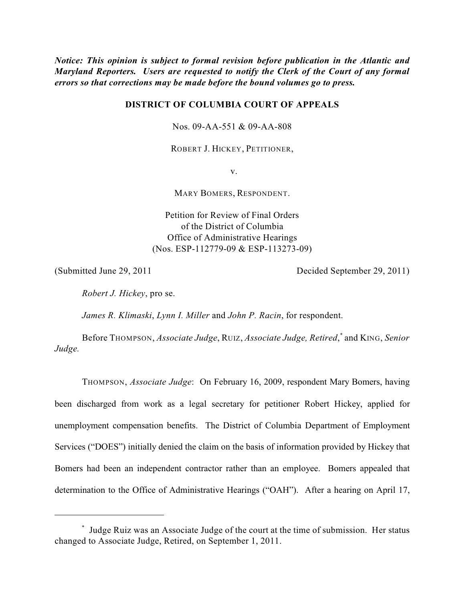*Notice: This opinion is subject to formal revision before publication in the Atlantic and Maryland Reporters. Users are requested to notify the Clerk of the Court of any formal errors so that corrections may be made before the bound volumes go to press.*

# **DISTRICT OF COLUMBIA COURT OF APPEALS**

Nos. 09-AA-551 & 09-AA-808

ROBERT J. HICKEY, PETITIONER,

v.

MARY BOMERS, RESPONDENT.

Petition for Review of Final Orders of the District of Columbia Office of Administrative Hearings (Nos. ESP-112779-09 & ESP-113273-09)

(Submitted June 29, 2011 Decided September 29, 2011)

*Robert J. Hickey*, pro se.

*James R. Klimaski*, *Lynn I. Miller* and *John P. Racin*, for respondent.

Before THOMPSON, *Associate Judge*, RUIZ, *Associate Judge, Retired*, and KING, *Senior \* Judge.*

THOMPSON, *Associate Judge*: On February 16, 2009, respondent Mary Bomers, having been discharged from work as a legal secretary for petitioner Robert Hickey, applied for unemployment compensation benefits. The District of Columbia Department of Employment Services ("DOES") initially denied the claim on the basis of information provided by Hickey that Bomers had been an independent contractor rather than an employee. Bomers appealed that determination to the Office of Administrative Hearings ("OAH"). After a hearing on April 17,

Judge Ruiz was an Associate Judge of the court at the time of submission. Her status \* changed to Associate Judge, Retired, on September 1, 2011.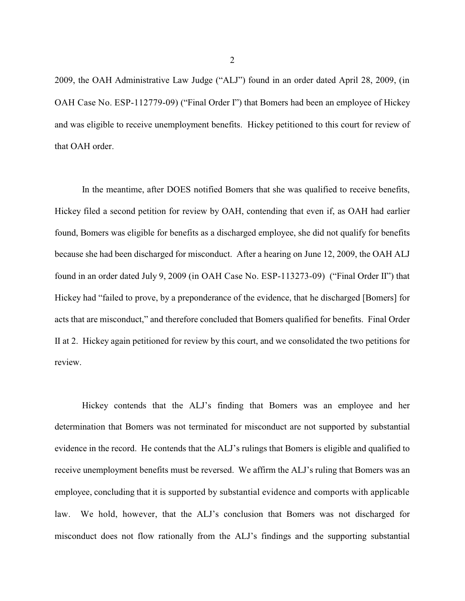2009, the OAH Administrative Law Judge ("ALJ") found in an order dated April 28, 2009, (in OAH Case No. ESP-112779-09) ("Final Order I") that Bomers had been an employee of Hickey and was eligible to receive unemployment benefits. Hickey petitioned to this court for review of that OAH order.

In the meantime, after DOES notified Bomers that she was qualified to receive benefits, Hickey filed a second petition for review by OAH, contending that even if, as OAH had earlier found, Bomers was eligible for benefits as a discharged employee, she did not qualify for benefits because she had been discharged for misconduct. After a hearing on June 12, 2009, the OAH ALJ found in an order dated July 9, 2009 (in OAH Case No. ESP-113273-09) ("Final Order II") that Hickey had "failed to prove, by a preponderance of the evidence, that he discharged [Bomers] for acts that are misconduct," and therefore concluded that Bomers qualified for benefits. Final Order II at 2. Hickey again petitioned for review by this court, and we consolidated the two petitions for review.

Hickey contends that the ALJ's finding that Bomers was an employee and her determination that Bomers was not terminated for misconduct are not supported by substantial evidence in the record. He contends that the ALJ's rulings that Bomers is eligible and qualified to receive unemployment benefits must be reversed. We affirm the ALJ's ruling that Bomers was an employee, concluding that it is supported by substantial evidence and comports with applicable law. We hold, however, that the ALJ's conclusion that Bomers was not discharged for misconduct does not flow rationally from the ALJ's findings and the supporting substantial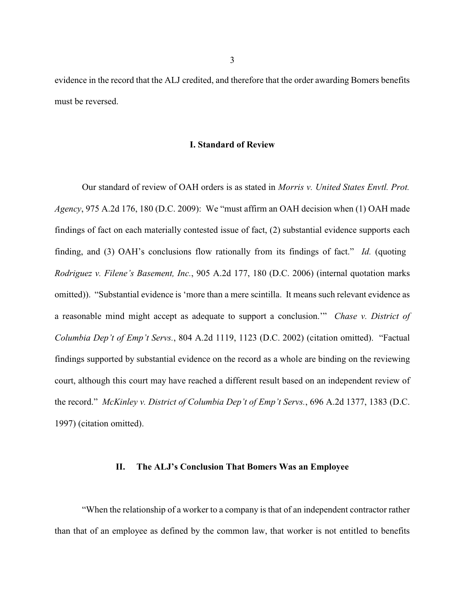evidence in the record that the ALJ credited, and therefore that the order awarding Bomers benefits must be reversed.

#### **I. Standard of Review**

Our standard of review of OAH orders is as stated in *Morris v. United States Envtl. Prot. Agency*, 975 A.2d 176, 180 (D.C. 2009): We "must affirm an OAH decision when (1) OAH made findings of fact on each materially contested issue of fact, (2) substantial evidence supports each finding, and (3) OAH's conclusions flow rationally from its findings of fact." *Id.* (quoting *Rodriguez v. Filene's Basement, Inc.*, 905 A.2d 177, 180 (D.C. 2006) (internal quotation marks omitted)). "Substantial evidence is 'more than a mere scintilla. It means such relevant evidence as a reasonable mind might accept as adequate to support a conclusion.'" *Chase v. District of Columbia Dep't of Emp't Servs.*, 804 A.2d 1119, 1123 (D.C. 2002) (citation omitted). "Factual findings supported by substantial evidence on the record as a whole are binding on the reviewing court, although this court may have reached a different result based on an independent review of the record." *McKinley v. District of Columbia Dep't of Emp't Servs.*, 696 A.2d 1377, 1383 (D.C. 1997) (citation omitted).

#### **II. The ALJ's Conclusion That Bomers Was an Employee**

"When the relationship of a worker to a company is that of an independent contractor rather than that of an employee as defined by the common law, that worker is not entitled to benefits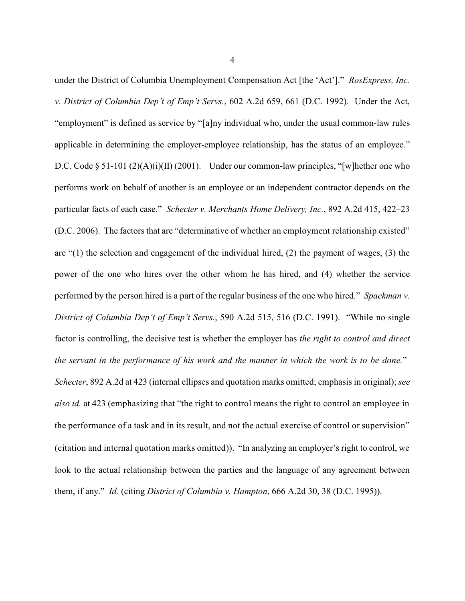under the District of Columbia Unemployment Compensation Act [the 'Act']." *RosExpress, Inc. v. District of Columbia Dep't of Emp't Servs.*, 602 A.2d 659, 661 (D.C. 1992). Under the Act, "employment" is defined as service by "[a]ny individual who, under the usual common-law rules applicable in determining the employer-employee relationship, has the status of an employee." D.C. Code § 51-101 (2)(A)(i)(II) (2001). Under our common-law principles, "[w] hether one who performs work on behalf of another is an employee or an independent contractor depends on the particular facts of each case." *Schecter v. Merchants Home Delivery, Inc.*, 892 A.2d 415, 422–23 (D.C. 2006). The factors that are "determinative of whether an employment relationship existed" are "(1) the selection and engagement of the individual hired, (2) the payment of wages, (3) the power of the one who hires over the other whom he has hired, and (4) whether the service performed by the person hired is a part of the regular business of the one who hired." *Spackman v. District of Columbia Dep't of Emp't Servs.*, 590 A.2d 515, 516 (D.C. 1991). "While no single factor is controlling, the decisive test is whether the employer has *the right to control and direct the servant in the performance of his work and the manner in which the work is to be done.*" *Schecter*, 892 A.2d at 423 (internal ellipses and quotation marks omitted; emphasis in original); *see also id.* at 423 (emphasizing that "the right to control means the right to control an employee in the performance of a task and in its result, and not the actual exercise of control or supervision" (citation and internal quotation marks omitted)). "In analyzing an employer's right to control, we look to the actual relationship between the parties and the language of any agreement between them, if any." *Id.* (citing *District of Columbia v. Hampton*, 666 A.2d 30, 38 (D.C. 1995)).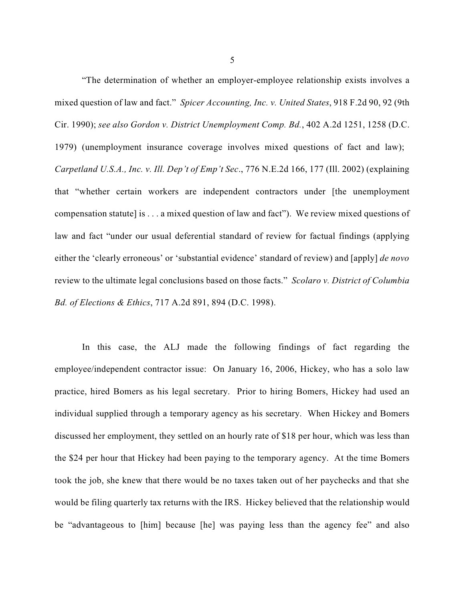"The determination of whether an employer-employee relationship exists involves a mixed question of law and fact." *Spicer Accounting, Inc. v. United States*, 918 F.2d 90, 92 (9th Cir. 1990); *see also Gordon v. District Unemployment Comp. Bd.*, 402 A.2d 1251, 1258 (D.C. 1979) (unemployment insurance coverage involves mixed questions of fact and law); *Carpetland U.S.A., Inc. v. Ill. Dep't of Emp't Sec*., 776 N.E.2d 166, 177 (Ill. 2002) (explaining that "whether certain workers are independent contractors under [the unemployment compensation statute] is . . . a mixed question of law and fact"). We review mixed questions of law and fact "under our usual deferential standard of review for factual findings (applying either the 'clearly erroneous' or 'substantial evidence' standard of review) and [apply] *de novo* review to the ultimate legal conclusions based on those facts." *Scolaro v. District of Columbia Bd. of Elections & Ethics*, 717 A.2d 891, 894 (D.C. 1998).

In this case, the ALJ made the following findings of fact regarding the employee/independent contractor issue: On January 16, 2006, Hickey, who has a solo law practice, hired Bomers as his legal secretary. Prior to hiring Bomers, Hickey had used an individual supplied through a temporary agency as his secretary. When Hickey and Bomers discussed her employment, they settled on an hourly rate of \$18 per hour, which was less than the \$24 per hour that Hickey had been paying to the temporary agency. At the time Bomers took the job, she knew that there would be no taxes taken out of her paychecks and that she would be filing quarterly tax returns with the IRS. Hickey believed that the relationship would be "advantageous to [him] because [he] was paying less than the agency fee" and also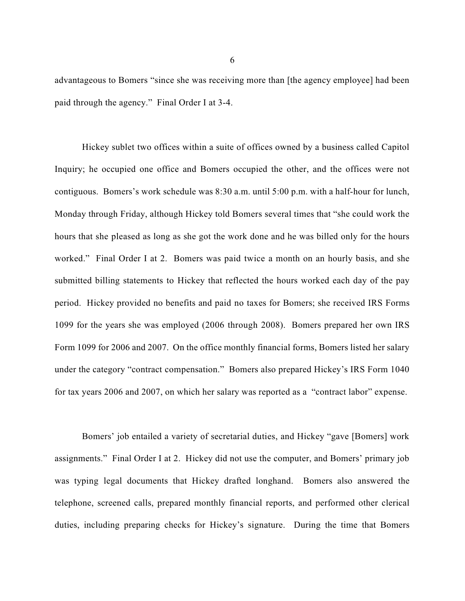advantageous to Bomers "since she was receiving more than [the agency employee] had been paid through the agency." Final Order I at 3-4.

Hickey sublet two offices within a suite of offices owned by a business called Capitol Inquiry; he occupied one office and Bomers occupied the other, and the offices were not contiguous. Bomers's work schedule was 8:30 a.m. until 5:00 p.m. with a half-hour for lunch, Monday through Friday, although Hickey told Bomers several times that "she could work the hours that she pleased as long as she got the work done and he was billed only for the hours worked." Final Order I at 2. Bomers was paid twice a month on an hourly basis, and she submitted billing statements to Hickey that reflected the hours worked each day of the pay period. Hickey provided no benefits and paid no taxes for Bomers; she received IRS Forms 1099 for the years she was employed (2006 through 2008). Bomers prepared her own IRS Form 1099 for 2006 and 2007. On the office monthly financial forms, Bomers listed her salary under the category "contract compensation." Bomers also prepared Hickey's IRS Form 1040 for tax years 2006 and 2007, on which her salary was reported as a "contract labor" expense.

Bomers' job entailed a variety of secretarial duties, and Hickey "gave [Bomers] work assignments." Final Order I at 2. Hickey did not use the computer, and Bomers' primary job was typing legal documents that Hickey drafted longhand. Bomers also answered the telephone, screened calls, prepared monthly financial reports, and performed other clerical duties, including preparing checks for Hickey's signature. During the time that Bomers

6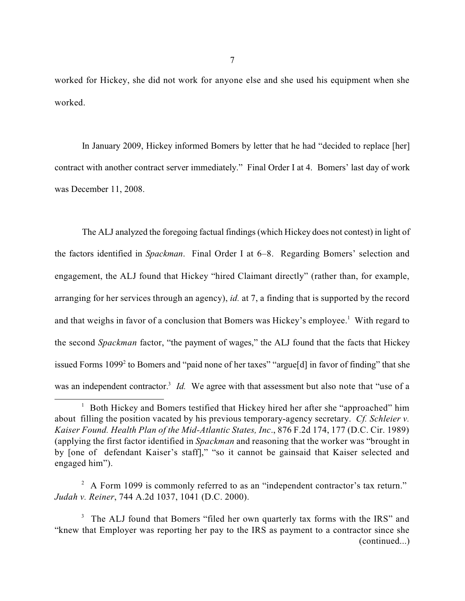worked for Hickey, she did not work for anyone else and she used his equipment when she worked.

In January 2009, Hickey informed Bomers by letter that he had "decided to replace [her] contract with another contract server immediately." Final Order I at 4. Bomers' last day of work was December 11, 2008.

The ALJ analyzed the foregoing factual findings (which Hickey does not contest) in light of the factors identified in *Spackman*. Final Order I at 6–8. Regarding Bomers' selection and engagement, the ALJ found that Hickey "hired Claimant directly" (rather than, for example, arranging for her services through an agency), *id.* at 7, a finding that is supported by the record and that weighs in favor of a conclusion that Bomers was Hickey's employee.<sup>1</sup> With regard to the second *Spackman* factor, "the payment of wages," the ALJ found that the facts that Hickey issued Forms  $1099<sup>2</sup>$  to Bomers and "paid none of her taxes" "argue[d] in favor of finding" that she was an independent contractor.<sup>3</sup> *Id*. We agree with that assessment but also note that "use of a

<sup>&</sup>lt;sup>1</sup> Both Hickey and Bomers testified that Hickey hired her after she "approached" him about filling the position vacated by his previous temporary-agency secretary. *Cf. Schleier v. Kaiser Found. Health Plan of the Mid-Atlantic States, Inc*., 876 F.2d 174, 177 (D.C. Cir. 1989) (applying the first factor identified in *Spackman* and reasoning that the worker was "brought in by [one of defendant Kaiser's staff]," "so it cannot be gainsaid that Kaiser selected and engaged him").

 $A$  Form 1099 is commonly referred to as an "independent contractor's tax return." *Judah v. Reiner*, 744 A.2d 1037, 1041 (D.C. 2000).

<sup>&</sup>lt;sup>3</sup> The ALJ found that Bomers "filed her own quarterly tax forms with the IRS" and "knew that Employer was reporting her pay to the IRS as payment to a contractor since she (continued...)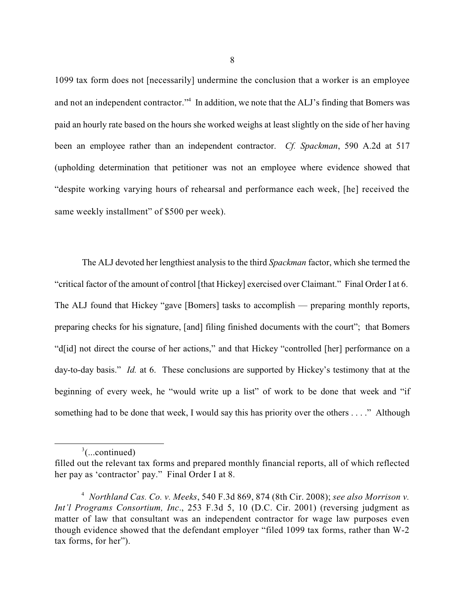1099 tax form does not [necessarily] undermine the conclusion that a worker is an employee and not an independent contractor."<sup>4</sup> In addition, we note that the ALJ's finding that Bomers was paid an hourly rate based on the hours she worked weighs at least slightly on the side of her having been an employee rather than an independent contractor. *Cf. Spackman*, 590 A.2d at 517 (upholding determination that petitioner was not an employee where evidence showed that "despite working varying hours of rehearsal and performance each week, [he] received the same weekly installment" of \$500 per week).

The ALJ devoted her lengthiest analysis to the third *Spackman* factor, which she termed the "critical factor of the amount of control [that Hickey] exercised over Claimant." Final Order I at 6. The ALJ found that Hickey "gave [Bomers] tasks to accomplish — preparing monthly reports, preparing checks for his signature, [and] filing finished documents with the court"; that Bomers "d[id] not direct the course of her actions," and that Hickey "controlled [her] performance on a day-to-day basis." *Id.* at 6. These conclusions are supported by Hickey's testimony that at the beginning of every week, he "would write up a list" of work to be done that week and "if something had to be done that week, I would say this has priority over the others . . . ." Although

 $\frac{3}{2}$ (...continued)

filled out the relevant tax forms and prepared monthly financial reports, all of which reflected her pay as 'contractor' pay." Final Order I at 8.

*Northland Cas. Co. v. Meeks*, 540 F.3d 869, 874 (8th Cir. 2008); *see also Morrison v.* 4 *Int'l Programs Consortium, Inc*., 253 F.3d 5, 10 (D.C. Cir. 2001) (reversing judgment as matter of law that consultant was an independent contractor for wage law purposes even though evidence showed that the defendant employer "filed 1099 tax forms, rather than W-2 tax forms, for her").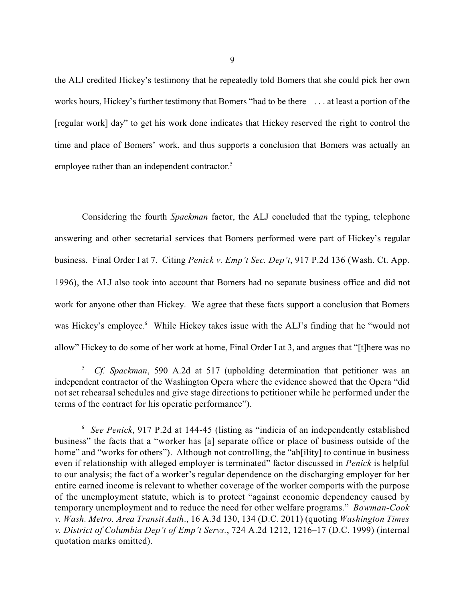the ALJ credited Hickey's testimony that he repeatedly told Bomers that she could pick her own works hours, Hickey's further testimony that Bomers "had to be there . . . at least a portion of the [regular work] day" to get his work done indicates that Hickey reserved the right to control the time and place of Bomers' work, and thus supports a conclusion that Bomers was actually an employee rather than an independent contractor.<sup>5</sup>

Considering the fourth *Spackman* factor, the ALJ concluded that the typing, telephone answering and other secretarial services that Bomers performed were part of Hickey's regular business. Final Order I at 7. Citing *Penick v. Emp't Sec. Dep't*, 917 P.2d 136 (Wash. Ct. App. 1996), the ALJ also took into account that Bomers had no separate business office and did not work for anyone other than Hickey. We agree that these facts support a conclusion that Bomers was Hickey's employee.<sup>6</sup> While Hickey takes issue with the ALJ's finding that he "would not allow" Hickey to do some of her work at home, Final Order I at 3, and argues that "[t]here was no

<sup>&</sup>lt;sup>5</sup> *Cf. Spackman*, 590 A.2d at 517 (upholding determination that petitioner was an independent contractor of the Washington Opera where the evidence showed that the Opera "did not set rehearsal schedules and give stage directions to petitioner while he performed under the terms of the contract for his operatic performance").

<sup>&</sup>lt;sup>6</sup> See Penick, 917 P.2d at 144-45 (listing as "indicia of an independently established business" the facts that a "worker has [a] separate office or place of business outside of the home" and "works for others"). Although not controlling, the "ab<sup>[ility]</sup> to continue in business even if relationship with alleged employer is terminated" factor discussed in *Penick* is helpful to our analysis; the fact of a worker's regular dependence on the discharging employer for her entire earned income is relevant to whether coverage of the worker comports with the purpose of the unemployment statute, which is to protect "against economic dependency caused by temporary unemployment and to reduce the need for other welfare programs." *Bowman-Cook v. Wash. Metro. Area Transit Auth*., 16 A.3d 130, 134 (D.C. 2011) (quoting *Washington Times v. District of Columbia Dep't of Emp't Servs.*, 724 A.2d 1212, 1216–17 (D.C. 1999) (internal quotation marks omitted).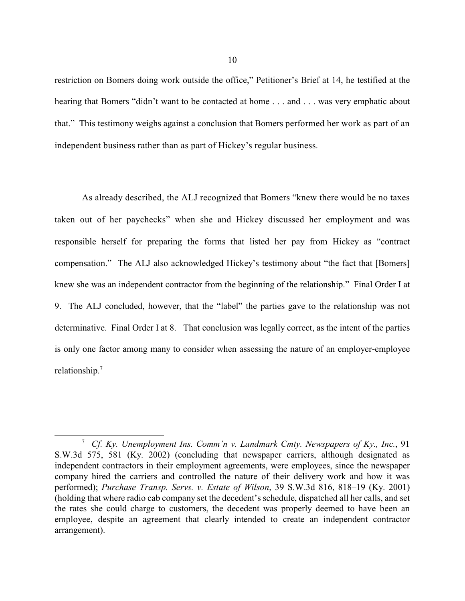restriction on Bomers doing work outside the office," Petitioner's Brief at 14, he testified at the hearing that Bomers "didn't want to be contacted at home . . . and . . . was very emphatic about that." This testimony weighs against a conclusion that Bomers performed her work as part of an independent business rather than as part of Hickey's regular business.

As already described, the ALJ recognized that Bomers "knew there would be no taxes taken out of her paychecks" when she and Hickey discussed her employment and was responsible herself for preparing the forms that listed her pay from Hickey as "contract compensation." The ALJ also acknowledged Hickey's testimony about "the fact that [Bomers] knew she was an independent contractor from the beginning of the relationship." Final Order I at 9. The ALJ concluded, however, that the "label" the parties gave to the relationship was not determinative. Final Order I at 8. That conclusion was legally correct, as the intent of the parties is only one factor among many to consider when assessing the nature of an employer-employee relationship.<sup>7</sup>

<sup>&</sup>lt;sup>7</sup> Cf. Ky. Unemployment Ins. Comm'n y. Landmark Cmty. Newspapers of Ky., Inc., 91 S.W.3d 575, 581 (Ky. 2002) (concluding that newspaper carriers, although designated as independent contractors in their employment agreements, were employees, since the newspaper company hired the carriers and controlled the nature of their delivery work and how it was performed); *Purchase Transp. Servs. v. Estate of Wilson*, 39 S.W.3d 816, 818–19 (Ky. 2001) (holding that where radio cab company set the decedent's schedule, dispatched all her calls, and set the rates she could charge to customers, the decedent was properly deemed to have been an employee, despite an agreement that clearly intended to create an independent contractor arrangement).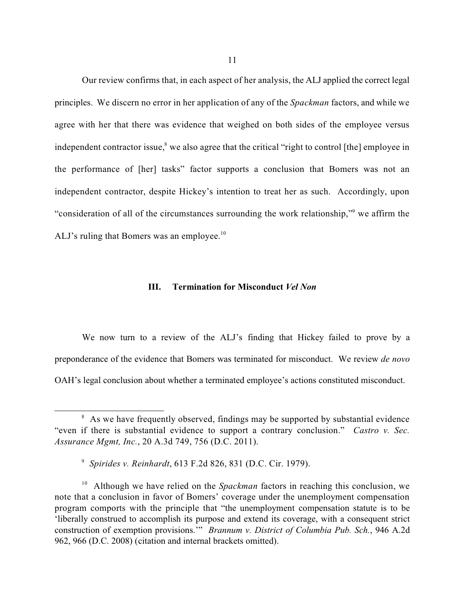Our review confirms that, in each aspect of her analysis, the ALJ applied the correct legal principles. We discern no error in her application of any of the *Spackman* factors, and while we agree with her that there was evidence that weighed on both sides of the employee versus independent contractor issue, $\delta$  we also agree that the critical "right to control [the] employee in the performance of [her] tasks" factor supports a conclusion that Bomers was not an independent contractor, despite Hickey's intention to treat her as such. Accordingly, upon "consideration of all of the circumstances surrounding the work relationship," we affirm the ALJ's ruling that Bomers was an employee. $10$ 

### **III. Termination for Misconduct** *Vel Non*

We now turn to a review of the ALJ's finding that Hickey failed to prove by a preponderance of the evidence that Bomers was terminated for misconduct. We review *de novo* OAH's legal conclusion about whether a terminated employee's actions constituted misconduct.

<sup>&</sup>lt;sup>8</sup> As we have frequently observed, findings may be supported by substantial evidence "even if there is substantial evidence to support a contrary conclusion." *Castro v. Sec. Assurance Mgmt, Inc.*, 20 A.3d 749, 756 (D.C. 2011).

*Spirides v. Reinhardt*, 613 F.2d 826, 831 (D.C. Cir. 1979). 9

<sup>&</sup>lt;sup>10</sup> Although we have relied on the *Spackman* factors in reaching this conclusion, we note that a conclusion in favor of Bomers' coverage under the unemployment compensation program comports with the principle that "the unemployment compensation statute is to be 'liberally construed to accomplish its purpose and extend its coverage, with a consequent strict construction of exemption provisions.'" *Brannum v. District of Columbia Pub. Sch.*, 946 A.2d 962, 966 (D.C. 2008) (citation and internal brackets omitted).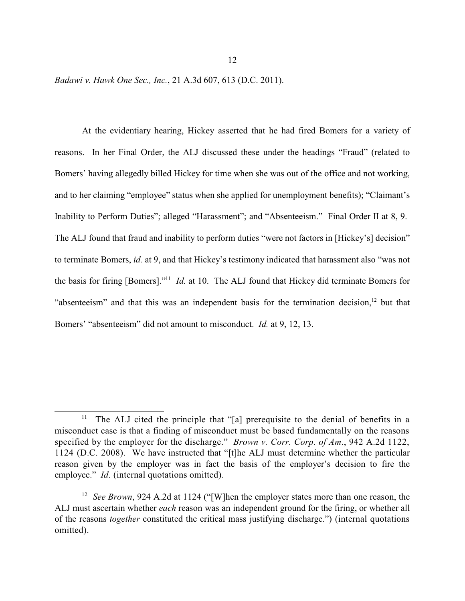*Badawi v. Hawk One Sec., Inc.*, 21 A.3d 607, 613 (D.C. 2011).

At the evidentiary hearing, Hickey asserted that he had fired Bomers for a variety of reasons. In her Final Order, the ALJ discussed these under the headings "Fraud" (related to Bomers' having allegedly billed Hickey for time when she was out of the office and not working, and to her claiming "employee" status when she applied for unemployment benefits); "Claimant's Inability to Perform Duties"; alleged "Harassment"; and "Absenteeism." Final Order II at 8, 9. The ALJ found that fraud and inability to perform duties "were not factors in [Hickey's] decision" to terminate Bomers, *id.* at 9, and that Hickey's testimony indicated that harassment also "was not the basis for firing [Bomers]."<sup>11</sup> *Id.* at 10. The ALJ found that Hickey did terminate Bomers for "absenteeism" and that this was an independent basis for the termination decision, $\frac{12}{2}$  but that Bomers' "absenteeism" did not amount to misconduct. *Id.* at 9, 12, 13.

The ALJ cited the principle that "[a] prerequisite to the denial of benefits in a 11 misconduct case is that a finding of misconduct must be based fundamentally on the reasons specified by the employer for the discharge." *Brown v. Corr. Corp. of Am*., 942 A.2d 1122, 1124 (D.C. 2008). We have instructed that "[t]he ALJ must determine whether the particular reason given by the employer was in fact the basis of the employer's decision to fire the employee." *Id.* (internal quotations omitted).

<sup>&</sup>lt;sup>12</sup> *See Brown*, 924 A.2d at 1124 ("[W]hen the employer states more than one reason, the ALJ must ascertain whether *each* reason was an independent ground for the firing, or whether all of the reasons *together* constituted the critical mass justifying discharge.") (internal quotations omitted).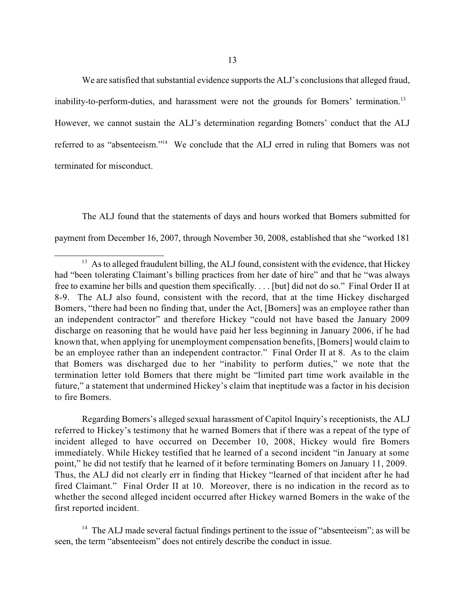We are satisfied that substantial evidence supports the ALJ's conclusions that alleged fraud, inability-to-perform-duties, and harassment were not the grounds for Bomers' termination.<sup>13</sup>

However, we cannot sustain the ALJ's determination regarding Bomers' conduct that the ALJ referred to as "absenteeism."<sup>14</sup> We conclude that the ALJ erred in ruling that Bomers was not terminated for misconduct.

The ALJ found that the statements of days and hours worked that Bomers submitted for payment from December 16, 2007, through November 30, 2008, established that she "worked 181

Regarding Bomers's alleged sexual harassment of Capitol Inquiry's receptionists, the ALJ referred to Hickey's testimony that he warned Bomers that if there was a repeat of the type of incident alleged to have occurred on December 10, 2008, Hickey would fire Bomers immediately. While Hickey testified that he learned of a second incident "in January at some point," he did not testify that he learned of it before terminating Bomers on January 11, 2009. Thus, the ALJ did not clearly err in finding that Hickey "learned of that incident after he had fired Claimant." Final Order II at 10. Moreover, there is no indication in the record as to whether the second alleged incident occurred after Hickey warned Bomers in the wake of the first reported incident.

 $14$  The ALJ made several factual findings pertinent to the issue of "absenteeism"; as will be seen, the term "absenteeism" does not entirely describe the conduct in issue.

 $^{13}$  As to alleged fraudulent billing, the ALJ found, consistent with the evidence, that Hickey had "been tolerating Claimant's billing practices from her date of hire" and that he "was always free to examine her bills and question them specifically. . . . [but] did not do so." Final Order II at 8-9. The ALJ also found, consistent with the record, that at the time Hickey discharged Bomers, "there had been no finding that, under the Act, [Bomers] was an employee rather than an independent contractor" and therefore Hickey "could not have based the January 2009 discharge on reasoning that he would have paid her less beginning in January 2006, if he had known that, when applying for unemployment compensation benefits, [Bomers] would claim to be an employee rather than an independent contractor." Final Order II at 8. As to the claim that Bomers was discharged due to her "inability to perform duties," we note that the termination letter told Bomers that there might be "limited part time work available in the future," a statement that undermined Hickey's claim that ineptitude was a factor in his decision to fire Bomers.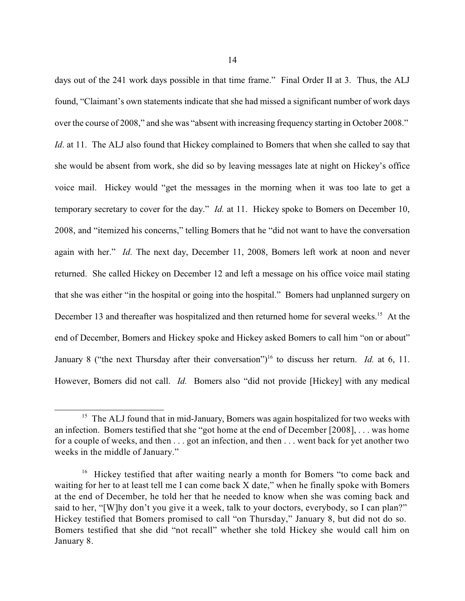days out of the 241 work days possible in that time frame." Final Order II at 3. Thus, the ALJ found, "Claimant's own statements indicate that she had missed a significant number of work days over the course of 2008," and she was "absent with increasing frequency starting in October 2008." *Id.* at 11. The ALJ also found that Hickey complained to Bomers that when she called to say that she would be absent from work, she did so by leaving messages late at night on Hickey's office voice mail. Hickey would "get the messages in the morning when it was too late to get a temporary secretary to cover for the day." *Id.* at 11. Hickey spoke to Bomers on December 10, 2008, and "itemized his concerns," telling Bomers that he "did not want to have the conversation again with her." *Id.* The next day, December 11, 2008, Bomers left work at noon and never returned. She called Hickey on December 12 and left a message on his office voice mail stating that she was either "in the hospital or going into the hospital." Bomers had unplanned surgery on December 13 and thereafter was hospitalized and then returned home for several weeks.<sup>15</sup> At the end of December, Bomers and Hickey spoke and Hickey asked Bomers to call him "on or about" January 8 ("the next Thursday after their conversation")<sup>16</sup> to discuss her return. *Id.* at 6, 11. However, Bomers did not call. *Id.* Bomers also "did not provide [Hickey] with any medical

 $15$  The ALJ found that in mid-January, Bomers was again hospitalized for two weeks with an infection. Bomers testified that she "got home at the end of December [2008], . . . was home for a couple of weeks, and then . . . got an infection, and then . . . went back for yet another two weeks in the middle of January."

<sup>&</sup>lt;sup>16</sup> Hickey testified that after waiting nearly a month for Bomers "to come back and waiting for her to at least tell me I can come back X date," when he finally spoke with Bomers at the end of December, he told her that he needed to know when she was coming back and said to her, "[W]hy don't you give it a week, talk to your doctors, everybody, so I can plan?" Hickey testified that Bomers promised to call "on Thursday," January 8, but did not do so. Bomers testified that she did "not recall" whether she told Hickey she would call him on January 8.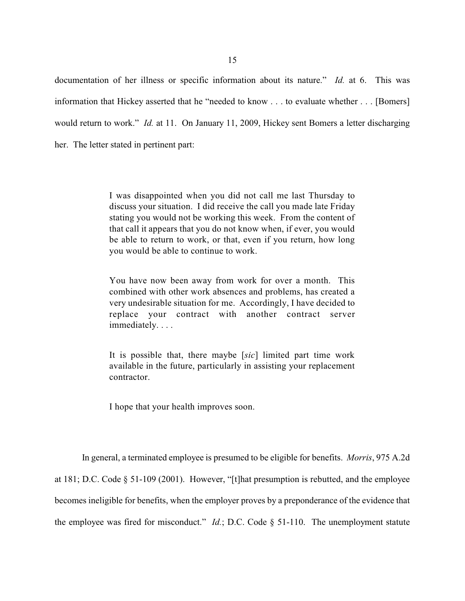documentation of her illness or specific information about its nature." *Id.* at 6. This was information that Hickey asserted that he "needed to know . . . to evaluate whether . . . [Bomers] would return to work." *Id.* at 11. On January 11, 2009, Hickey sent Bomers a letter discharging her. The letter stated in pertinent part:

> I was disappointed when you did not call me last Thursday to discuss your situation. I did receive the call you made late Friday stating you would not be working this week. From the content of that call it appears that you do not know when, if ever, you would be able to return to work, or that, even if you return, how long you would be able to continue to work.

> You have now been away from work for over a month. This combined with other work absences and problems, has created a very undesirable situation for me. Accordingly, I have decided to replace your contract with another contract server immediately. . . .

> It is possible that, there maybe [*sic*] limited part time work available in the future, particularly in assisting your replacement contractor.

I hope that your health improves soon.

In general, a terminated employee is presumed to be eligible for benefits. *Morris*, 975 A.2d at 181; D.C. Code § 51-109 (2001). However, "[t]hat presumption is rebutted, and the employee becomes ineligible for benefits, when the employer proves by a preponderance of the evidence that the employee was fired for misconduct." *Id.*; D.C. Code § 51-110. The unemployment statute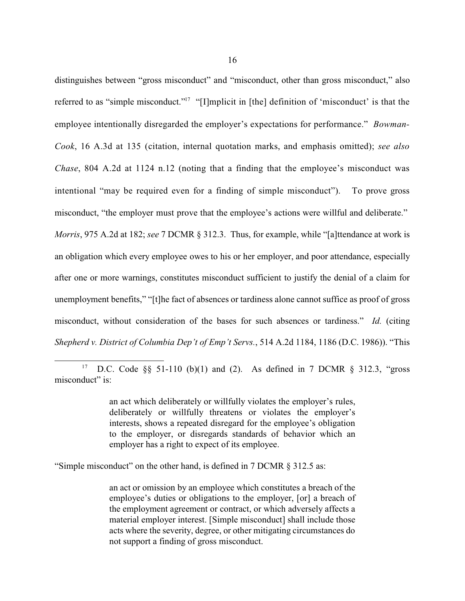distinguishes between "gross misconduct" and "misconduct, other than gross misconduct," also referred to as "simple misconduct."<sup>17</sup> "[I]mplicit in [the] definition of 'misconduct' is that the employee intentionally disregarded the employer's expectations for performance." *Bowman-Cook*, 16 A.3d at 135 (citation, internal quotation marks, and emphasis omitted); *see also Chase*, 804 A.2d at 1124 n.12 (noting that a finding that the employee's misconduct was intentional "may be required even for a finding of simple misconduct"). To prove gross misconduct, "the employer must prove that the employee's actions were willful and deliberate." *Morris*, 975 A.2d at 182; *see* 7 DCMR § 312.3. Thus, for example, while "[a]ttendance at work is an obligation which every employee owes to his or her employer, and poor attendance, especially after one or more warnings, constitutes misconduct sufficient to justify the denial of a claim for unemployment benefits," "[t]he fact of absences or tardiness alone cannot suffice as proof of gross misconduct, without consideration of the bases for such absences or tardiness." *Id.* (citing

*Shepherd v. District of Columbia Dep't of Emp't Servs.*, 514 A.2d 1184, 1186 (D.C. 1986)). "This

<sup>17</sup> D.C. Code §§ 51-110 (b)(1) and (2). As defined in 7 DCMR § 312.3, "gross misconduct" is:

> an act which deliberately or willfully violates the employer's rules, deliberately or willfully threatens or violates the employer's interests, shows a repeated disregard for the employee's obligation to the employer, or disregards standards of behavior which an employer has a right to expect of its employee.

"Simple misconduct" on the other hand, is defined in 7 DCMR § 312.5 as:

an act or omission by an employee which constitutes a breach of the employee's duties or obligations to the employer, [or] a breach of the employment agreement or contract, or which adversely affects a material employer interest. [Simple misconduct] shall include those acts where the severity, degree, or other mitigating circumstances do not support a finding of gross misconduct.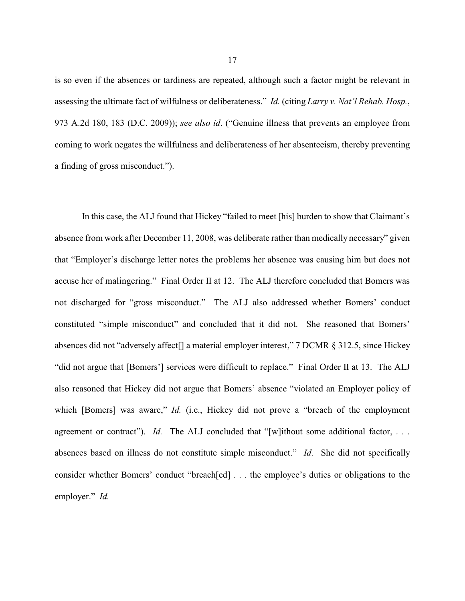is so even if the absences or tardiness are repeated, although such a factor might be relevant in assessing the ultimate fact of wilfulness or deliberateness." *Id.* (citing *Larry v. Nat'l Rehab. Hosp.*, 973 A.2d 180, 183 (D.C. 2009)); *see also id*. ("Genuine illness that prevents an employee from coming to work negates the willfulness and deliberateness of her absenteeism, thereby preventing a finding of gross misconduct.").

In this case, the ALJ found that Hickey "failed to meet [his] burden to show that Claimant's absence from work after December 11, 2008, was deliberate rather than medically necessary" given that "Employer's discharge letter notes the problems her absence was causing him but does not accuse her of malingering." Final Order II at 12. The ALJ therefore concluded that Bomers was not discharged for "gross misconduct." The ALJ also addressed whether Bomers' conduct constituted "simple misconduct" and concluded that it did not. She reasoned that Bomers' absences did not "adversely affect[] a material employer interest," 7 DCMR § 312.5, since Hickey "did not argue that [Bomers'] services were difficult to replace." Final Order II at 13. The ALJ also reasoned that Hickey did not argue that Bomers' absence "violated an Employer policy of which [Bomers] was aware," *Id.* (i.e., Hickey did not prove a "breach of the employment agreement or contract"). *Id.* The ALJ concluded that "[w]ithout some additional factor, ... absences based on illness do not constitute simple misconduct." *Id.* She did not specifically consider whether Bomers' conduct "breach[ed] . . . the employee's duties or obligations to the employer." *Id.*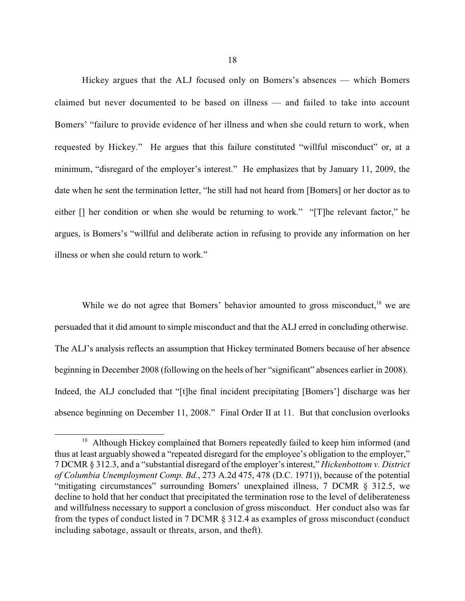Hickey argues that the ALJ focused only on Bomers's absences — which Bomers claimed but never documented to be based on illness — and failed to take into account Bomers' "failure to provide evidence of her illness and when she could return to work, when requested by Hickey." He argues that this failure constituted "willful misconduct" or, at a minimum, "disregard of the employer's interest." He emphasizes that by January 11, 2009, the date when he sent the termination letter, "he still had not heard from [Bomers] or her doctor as to either [] her condition or when she would be returning to work." "[T]he relevant factor," he argues, is Bomers's "willful and deliberate action in refusing to provide any information on her illness or when she could return to work."

While we do not agree that Bomers' behavior amounted to gross misconduct,  $18$  we are persuaded that it did amount to simple misconduct and that the ALJ erred in concluding otherwise. The ALJ's analysis reflects an assumption that Hickey terminated Bomers because of her absence beginning in December 2008 (following on the heels of her "significant" absences earlier in 2008). Indeed, the ALJ concluded that "[t]he final incident precipitating [Bomers'] discharge was her absence beginning on December 11, 2008." Final Order II at 11. But that conclusion overlooks

<sup>&</sup>lt;sup>18</sup> Although Hickey complained that Bomers repeatedly failed to keep him informed (and thus at least arguably showed a "repeated disregard for the employee's obligation to the employer," 7 DCMR § 312.3, and a "substantial disregard of the employer's interest," *Hickenbottom v. District of Columbia Unemployment Comp. Bd.*, 273 A.2d 475, 478 (D.C. 1971)), because of the potential "mitigating circumstances" surrounding Bomers' unexplained illness, 7 DCMR § 312.5, we decline to hold that her conduct that precipitated the termination rose to the level of deliberateness and willfulness necessary to support a conclusion of gross misconduct. Her conduct also was far from the types of conduct listed in 7 DCMR § 312.4 as examples of gross misconduct (conduct including sabotage, assault or threats, arson, and theft).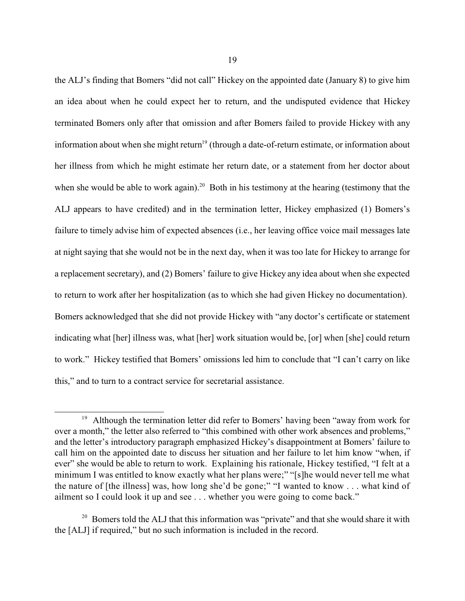the ALJ's finding that Bomers "did not call" Hickey on the appointed date (January 8) to give him an idea about when he could expect her to return, and the undisputed evidence that Hickey terminated Bomers only after that omission and after Bomers failed to provide Hickey with any information about when she might return<sup>19</sup> (through a date-of-return estimate, or information about her illness from which he might estimate her return date, or a statement from her doctor about when she would be able to work again).<sup>20</sup> Both in his testimony at the hearing (testimony that the ALJ appears to have credited) and in the termination letter, Hickey emphasized (1) Bomers's failure to timely advise him of expected absences (i.e., her leaving office voice mail messages late at night saying that she would not be in the next day, when it was too late for Hickey to arrange for a replacement secretary), and (2) Bomers' failure to give Hickey any idea about when she expected to return to work after her hospitalization (as to which she had given Hickey no documentation). Bomers acknowledged that she did not provide Hickey with "any doctor's certificate or statement indicating what [her] illness was, what [her] work situation would be, [or] when [she] could return to work." Hickey testified that Bomers' omissions led him to conclude that "I can't carry on like this," and to turn to a contract service for secretarial assistance.

 $19$  Although the termination letter did refer to Bomers' having been "away from work for over a month," the letter also referred to "this combined with other work absences and problems," and the letter's introductory paragraph emphasized Hickey's disappointment at Bomers' failure to call him on the appointed date to discuss her situation and her failure to let him know "when, if ever" she would be able to return to work. Explaining his rationale, Hickey testified, "I felt at a minimum I was entitled to know exactly what her plans were;" "[s]he would never tell me what the nature of [the illness] was, how long she'd be gone;" "I wanted to know . . . what kind of ailment so I could look it up and see . . . whether you were going to come back."

 $20$  Bomers told the ALJ that this information was "private" and that she would share it with the [ALJ] if required," but no such information is included in the record.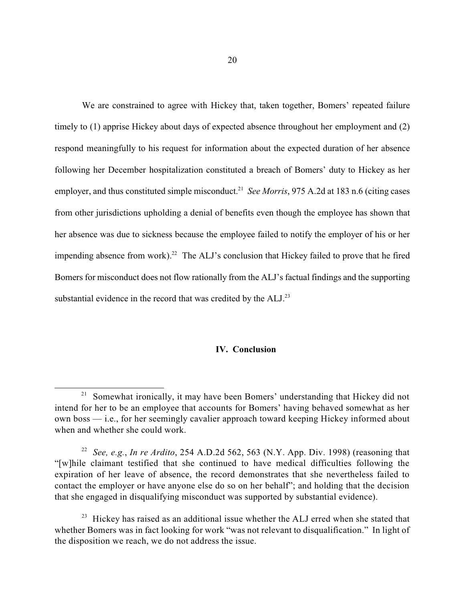We are constrained to agree with Hickey that, taken together, Bomers' repeated failure timely to (1) apprise Hickey about days of expected absence throughout her employment and (2) respond meaningfully to his request for information about the expected duration of her absence following her December hospitalization constituted a breach of Bomers' duty to Hickey as her employer, and thus constituted simple misconduct.<sup>21</sup> See Morris, 975 A.2d at 183 n.6 (citing cases from other jurisdictions upholding a denial of benefits even though the employee has shown that her absence was due to sickness because the employee failed to notify the employer of his or her impending absence from work).<sup>22</sup> The ALJ's conclusion that Hickey failed to prove that he fired Bomers for misconduct does not flow rationally from the ALJ's factual findings and the supporting substantial evidence in the record that was credited by the  $ALJ$ .<sup>23</sup>

## **IV. Conclusion**

<sup>&</sup>lt;sup>21</sup> Somewhat ironically, it may have been Bomers' understanding that Hickey did not intend for her to be an employee that accounts for Bomers' having behaved somewhat as her own boss — i.e., for her seemingly cavalier approach toward keeping Hickey informed about when and whether she could work.

*See, e.g.*, *In re Ardito*, 254 A.D.2d 562, 563 (N.Y. App. Div. 1998) (reasoning that 22 "[w]hile claimant testified that she continued to have medical difficulties following the expiration of her leave of absence, the record demonstrates that she nevertheless failed to contact the employer or have anyone else do so on her behalf"; and holding that the decision that she engaged in disqualifying misconduct was supported by substantial evidence).

 $2<sup>23</sup>$  Hickey has raised as an additional issue whether the ALJ erred when she stated that whether Bomers was in fact looking for work "was not relevant to disqualification." In light of the disposition we reach, we do not address the issue.